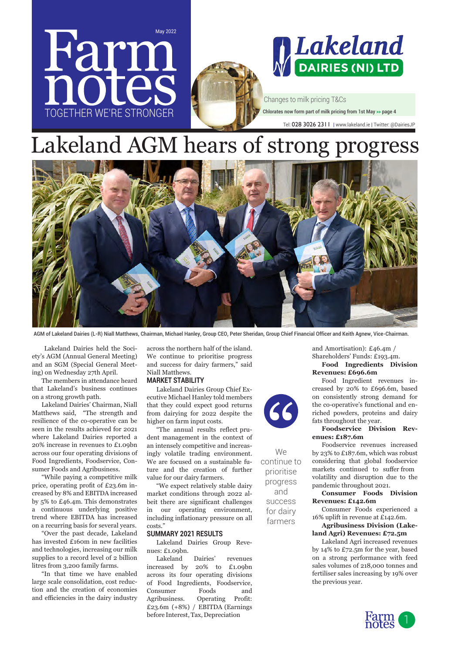

# Lakeland AGM hears of strong progress



**AGM of Lakeland Dairies (L-R) Niall Matthews, Chairman, Michael Hanley, Group CEO, Peter Sheridan, Group Chief Financial Officer and Keith Agnew, Vice-Chairman.**

 Lakeland Dairies held the Society's AGM (Annual General Meeting) and an SGM (Special General Meeting) on Wednesday 27th April.

The members in attendance heard that Lakeland's business continues on a strong growth path.

Lakeland Dairies' Chairman, Niall Matthews said, "The strength and resilience of the co-operative can be seen in the results achieved for 2021 where Lakeland Dairies reported a 20% increase in revenues to £1.09bn across our four operating divisions of Food Ingredients, Foodservice, Consumer Foods and Agribusiness.

"While paying a competitive milk price, operating profit of £23.6m increased by 8% and EBITDA increased by 5% to £46.4m. This demonstrates a continuous underlying positive trend where EBITDA has increased on a recurring basis for several years.

"Over the past decade, Lakeland has invested £160m in new facilities and technologies, increasing our milk supplies to a record level of 2 billion litres from 3,200 family farms.

"In that time we have enabled large scale consolidation, cost reduction and the creation of economies and efficiencies in the dairy industry across the northern half of the island. We continue to prioritise progress and success for dairy farmers," said Niall Matthews.

#### **MARKET STABILITY**

Lakeland Dairies Group Chief Executive Michael Hanley told members that they could expect good returns from dairying for 2022 despite the higher on farm input costs.

"The annual results reflect prudent management in the context of an intensely competitive and increasingly volatile trading environment. We are focused on a sustainable future and the creation of further value for our dairy farmers.

"We expect relatively stable dairy market conditions through 2022 albeit there are significant challenges in our operating environment, including inflationary pressure on all costs."

#### **SUMMARY 2021 RESULTS**

Lakeland Dairies Group Revenues: £1.09bn.

Lakeland Dairies' revenues increased by 20% to £1.09bn across its four operating divisions of Food Ingredients, Foodservice, Consumer Foods and Agribusiness. Operating Profit: £23.6m (+8%) / EBITDA (Earnings before Interest, Tax, Depreciation

and Amortisation): £46.4m / Shareholders' Funds: £193.4m.

#### **Food Ingredients Division Revenues: £696.6m**

Food Ingredient revenues increased by 20% to £696.6m, based on consistently strong demand for the co-operative's functional and enriched powders, proteins and dairy fats throughout the year.

#### **Foodservice Division Revenues: £187.6m**

Foodservice revenues increased by 23% to £187.6m, which was robust considering that global foodservice markets continued to suffer from volatility and disruption due to the pandemic throughout 2021.

#### **Consumer Foods Division Revenues: £142.6m**

Consumer Foods experienced a 16% uplift in revenue at £142.6m.

#### **Agribusiness Division (Lakeland Agri) Revenues: £72.5m**

Lakeland Agri increased revenues by 14% to £72.5m for the year, based on a strong performance with feed sales volumes of 218,000 tonnes and fertiliser sales increasing by 19% over the previous year.



continue to prioritise progress and success for dairy farmers

We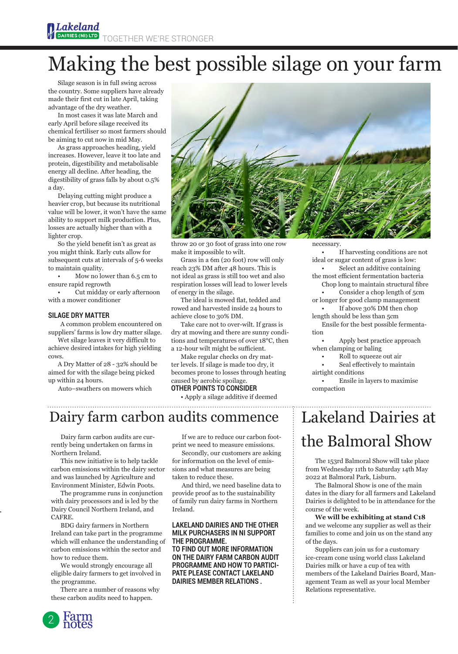# Making the best possible silage on your farm

Silage season is in full swing across the country. Some suppliers have already made their first cut in late April, taking advantage of the dry weather.

In most cases it was late March and early April before silage received its chemical fertiliser so most farmers should be aiming to cut now in mid May.

As grass approaches heading, yield increases. However, leave it too late and protein, digestibility and metabolisable energy all decline. After heading, the digestibility of grass falls by about 0.5% a day.

Delaying cutting might produce a heavier crop, but because its nutritional value will be lower, it won't have the same ability to support milk production. Plus, losses are actually higher than with a lighter crop.

So the yield benefit isn't as great as you might think. Early cuts allow for subsequent cuts at intervals of 5-6 weeks to maintain quality.

• Mow no lower than 6.5 cm to ensure rapid regrowth

Cut midday or early afternoon with a mower conditioner

#### **SILAGE DRY MATTER**

A common problem encountered on suppliers' farms is low dry matter silage.

Wet silage leaves it very difficult to achieve desired intakes for high yielding cows.

A Dry Matter of 28 - 32% should be aimed for with the silage being picked up within 24 hours.

Auto–swathers on mowers which



throw 20 or 30 foot of grass into one row make it impossible to wilt.

Grass in a 6m (20 foot) row will only reach 23% DM after 48 hours. This is not ideal as grass is still too wet and also respiration losses will lead to lower levels of energy in the silage.

The ideal is mowed flat, tedded and rowed and harvested inside 24 hours to achieve close to 30% DM.

Take care not to over-wilt. If grass is dry at mowing and there are sunny conditions and temperatures of over 18°C, then a 12-hour wilt might be sufficient.

Make regular checks on dry matter levels. If silage is made too dry, it becomes prone to losses through heating caused by aerobic spoilage.

#### **OTHER POINTS TO CONSIDER**

• Apply a silage additive if deemed  necessary.

If harvesting conditions are not ideal or sugar content of grass is low:

• Select an additive containing the most efficient fermentation bacteria Chop long to maintain structural fibre

- Consider a chop length of 5cm or longer for good clamp management
- If above 30% DM then chop length should be less than 5cm

Ensile for the best possible fermentation

• Apply best practice approach when clamping or baling

• Roll to squeeze out air

Seal effectively to maintain airtight conditions

• Ensile in layers to maximise compaction

## Dairy farm carbon audits commence

Dairy farm carbon audits are currently being undertaken on farms in Northern Ireland.

This new initiative is to help tackle carbon emissions within the dairy sector and was launched by Agriculture and Environment Minister, Edwin Poots.

The programme runs in conjunction with dairy processors and is led by the Dairy Council Northern Ireland, and CAFRE.

BDG dairy farmers in Northern Ireland can take part in the programme which will enhance the understanding of carbon emissions within the sector and how to reduce them.

We would strongly encourage all eligible dairy farmers to get involved in the programme.

There are a number of reasons why these carbon audits need to happen.

If we are to reduce our carbon footprint we need to measure emissions.

Secondly, our customers are asking for information on the level of emissions and what measures are being taken to reduce these.

And third, we need baseline data to provide proof as to the sustainability of family run dairy farms in Northern Ireland.

#### **LAKELAND DAIRIES AND THE OTHER MILK PURCHASERS IN NI SUPPORT THE PROGRAMME.**

**TO FIND OUT MORE INFORMATION ON THE DAIRY FARM CARBON AUDIT PROGRAMME AND HOW TO PARTICI-PATE PLEASE CONTACT LAKELAND DAIRIES MEMBER RELATIONS .**

## Lakeland Dairies at the Balmoral Show

The 153rd Balmoral Show will take place from Wednesday 11th to Saturday 14th May 2022 at Balmoral Park, Lisburn.

The Balmoral Show is one of the main dates in the diary for all farmers and Lakeland Dairies is delighted to be in attendance for the course of the week.

#### **We will be exhibiting at stand C18**  and we welcome any supplier as well as their families to come and join us on the stand any of the days.

Suppliers can join us for a customary ice-cream cone using world class Lakeland Dairies milk or have a cup of tea with members of the Lakeland Dairies Board, Management Team as well as your local Member Relations representative.



 $\ddot{\phantom{a}}$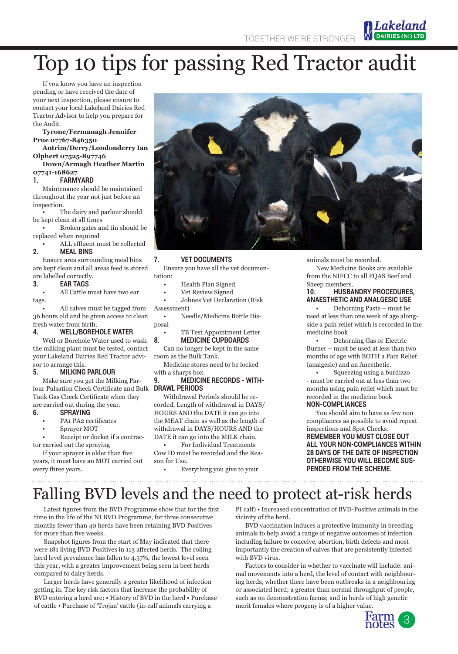TOGETHER WE'RE STRONGER

# Top 10 tips for passing Red Tractor audit

If you know you have an inspection pending or have received the date of your next inspection, please ensure to contact your local Lakeland Dairies Red Tractor Advisor to help you prepare for the Audit.

**Tyrone/Fermanagh Jennifer Prue 07767-846350**

**Antrim/Derry/Londonderry Ian Olphert 07525-897746**

**Down/Armagh Heather Martin 07741-168627**

#### **1. FARMYARD**

Maintenance should be maintained throughout the year not just before an inspection.

The dairy and parlour should be kept clean at all times

• Broken gates and tin should be replaced when required

#### • ALL effluent must be collected **2. MEAL BINS**

Ensure area surrounding meal bins are kept clean and all areas feed is stored are labelled correctly.

#### **3. EAR TAGS**

• All Cattle must have two ear tags.

• All calves must be tagged from 36 hours old and be given access to clean fresh water from birth.

#### **4. WELL/BOREHOLE WATER**

Well or Borehole Water used to wash the milking plant must be tested, contact your Lakeland Dairies Red Tractor advisor to arrange this.

#### **5. MILKING PARLOUR**

Make sure you get the Milking Parlour Pulsation Check Certificate and Bulk **DRAWL PERIODS** Tank Gas Check Certificate when they are carried out during the year.

#### **6. SPRAYING**

- PA1 PA2 certificates
- Sprayer MOT
- Receipt or docket if a contractor carried out the spraying

If your sprayer is older than five years, it must have an MOT carried out every three years.

#### **7. VET DOCUMENTS**

Ensure you have all the vet documentation:

- Health Plan Signed
- Vet Review Signed

• Johnes Vet Declaration (Risk Assessment)

• Needle/Medicine Bottle Disposal

• TB Test Appointment Letter **8. MEDICINE CUPBOARDS**

Can no longer be kept in the same room as the Bulk Tank.

Medicine stores need to be locked with a sharps box.<br>**9 MEDICIN** 

### **9. MEDICINE RECORDS - WITH-**

Withdrawal Periods should be recorded, Length of withdrawal in DAYS/ HOURS AND the DATE it can go into the MEAT chain as well as the length of withdrawal in DAYS/HOURS AND the DATE it can go into the MILK chain.

• For Individual Treatments Cow ID must be recorded and the Reason for Use.

• Everything you give to your 

animals must be recorded.

New Medicine Books are available from the NIFCC to all FQAS Beef and Sheep members.

Lakeland **DAIRIES (NI)** 

#### **10. HUSBANDRY PROCEDURES, ANAESTHETIC AND ANALGESIC USE**

• Dehorning Paste – must be used at less than one week of age alongside a pain relief which is recorded in the medicine book

• Dehorning Gas or Electric Burner – must be used at less than two months of age with BOTH a Pain Relief (analgesic) and an Anesthetic.

• Squeezing using a burdizzo - must be carried out at less than two months using pain relief which must be recorded in the medicine book

#### **NON-COMPLIANCES**

You should aim to have as few non compliances as possible to avoid repeat inspections and Spot Checks. **REMEMBER YOU MUST CLOSE OUT ALL YOUR NON-COMPLIANCES WITHIN 28 DAYS OF THE DATE OF INSPECTION OTHERWISE YOU WILL BECOME SUS-PENDED FROM THE SCHEME.** 

Falling BVD levels and the need to protect at-risk herds

Latest figures from the BVD Programme show that for the first time in the life of the NI BVD Programme, for three consecutive months fewer than 40 herds have been retaining BVD Positives for more than five weeks.

Snapshot figures from the start of May indicated that there were 181 living BVD Positives in 113 affected herds. The rolling herd level prevalence has fallen to 4.57%, the lowest level seen this year, with a greater improvement being seen in beef herds compared to dairy herds.

Larger herds have generally a greater likelihood of infection getting in. The key risk factors that increase the probability of BVD entering a herd are: • History of BVD in the herd • Purchase of cattle • Purchase of 'Trojan' cattle (in-calf animals carrying a

PI calf) • Increased concentration of BVD-Positive animals in the vicinity of the herd.

BVD vaccination induces a protective immunity in breeding animals to help avoid a range of negative outcomes of infection including failure to conceive, abortion, birth defects and most importantly the creation of calves that are persistently infected with BVD virus.

Factors to consider in whether to vaccinate will include: animal movements into a herd, the level of contact with neighbouring herds, whether there have been outbreaks in a neighbouring or associated herd; a greater than normal throughput of people, such as on demonstration farms; and in herds of high genetic merit females where progeny is of a higher value.